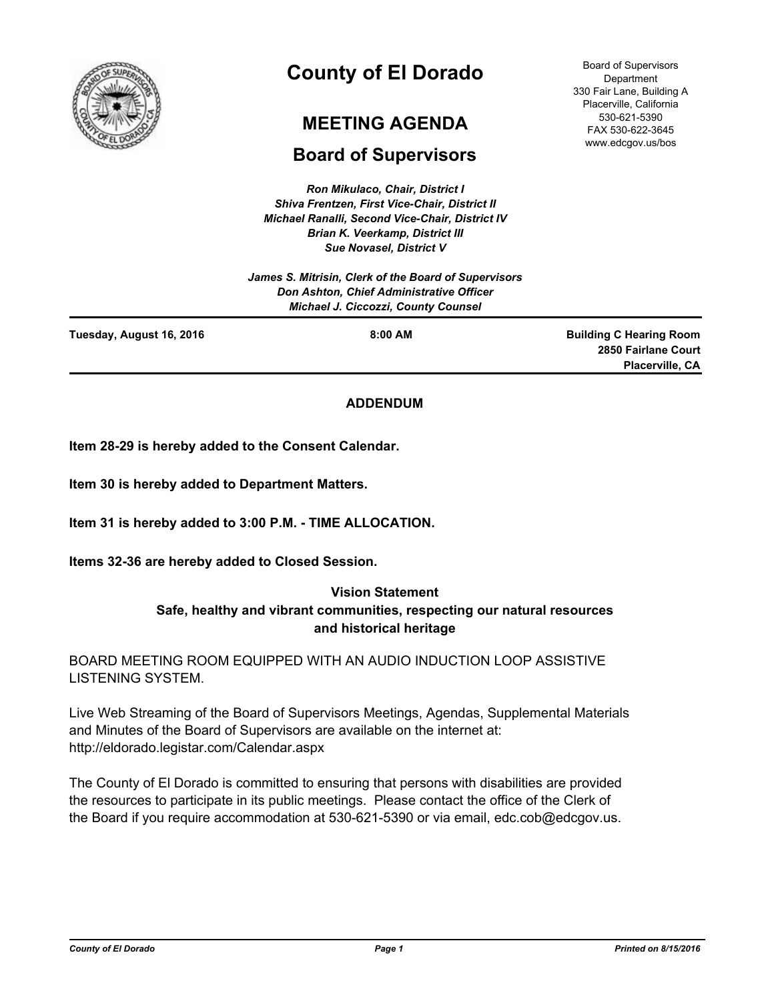

# **County of El Dorado**

# **MEETING AGENDA**

# **Board of Supervisors**

*Ron Mikulaco, Chair, District I Shiva Frentzen, First Vice-Chair, District II Michael Ranalli, Second Vice-Chair, District IV Brian K. Veerkamp, District III Sue Novasel, District V* 

*James S. Mitrisin, Clerk of the Board of Supervisors Don Ashton, Chief Administrative Officer Michael J. Ciccozzi, County Counsel*

**Tuesday, August 16, 2016 8:00 AM**

**Building C Hearing Room 2850 Fairlane Court Placerville, CA**

# **ADDENDUM**

**Item 28-29 is hereby added to the Consent Calendar.**

**Item 30 is hereby added to Department Matters.**

**Item 31 is hereby added to 3:00 P.M. - TIME ALLOCATION.**

**Items 32-36 are hereby added to Closed Session.**

# **Vision Statement Safe, healthy and vibrant communities, respecting our natural resources and historical heritage**

BOARD MEETING ROOM EQUIPPED WITH AN AUDIO INDUCTION LOOP ASSISTIVE LISTENING SYSTEM.

Live Web Streaming of the Board of Supervisors Meetings, Agendas, Supplemental Materials and Minutes of the Board of Supervisors are available on the internet at: http://eldorado.legistar.com/Calendar.aspx

The County of El Dorado is committed to ensuring that persons with disabilities are provided the resources to participate in its public meetings. Please contact the office of the Clerk of the Board if you require accommodation at 530-621-5390 or via email, edc.cob@edcgov.us.

Board of Supervisors Department 330 Fair Lane, Building A Placerville, California 530-621-5390 FAX 530-622-3645 www.edcgov.us/bos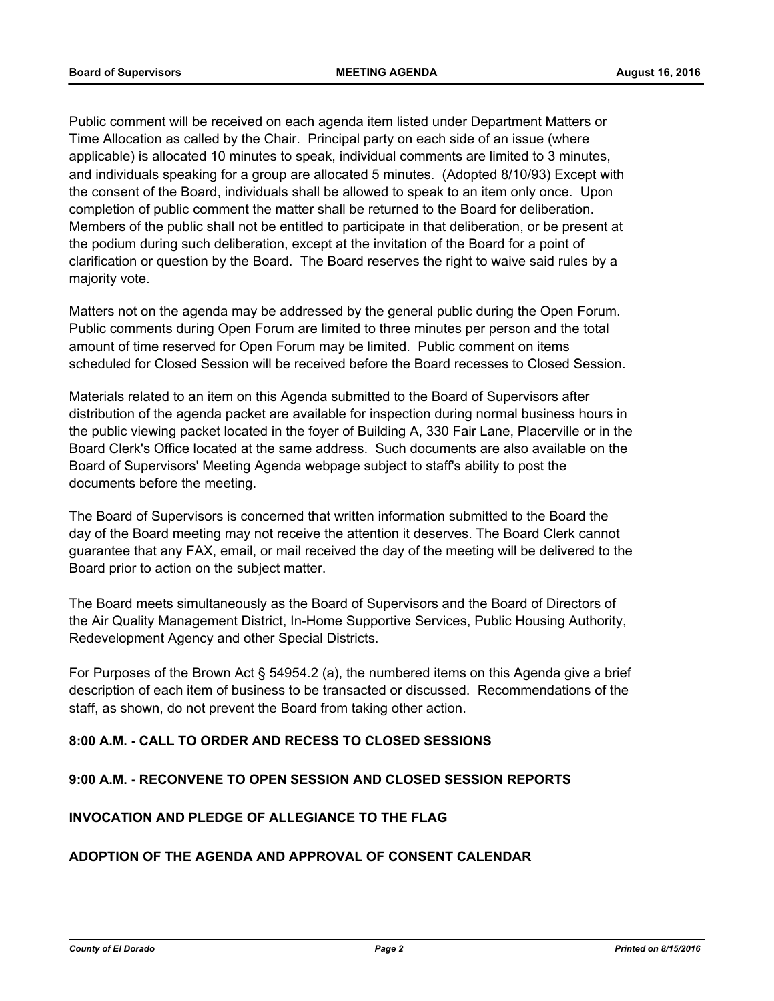Public comment will be received on each agenda item listed under Department Matters or Time Allocation as called by the Chair. Principal party on each side of an issue (where applicable) is allocated 10 minutes to speak, individual comments are limited to 3 minutes, and individuals speaking for a group are allocated 5 minutes. (Adopted 8/10/93) Except with the consent of the Board, individuals shall be allowed to speak to an item only once. Upon completion of public comment the matter shall be returned to the Board for deliberation. Members of the public shall not be entitled to participate in that deliberation, or be present at the podium during such deliberation, except at the invitation of the Board for a point of clarification or question by the Board. The Board reserves the right to waive said rules by a majority vote.

Matters not on the agenda may be addressed by the general public during the Open Forum. Public comments during Open Forum are limited to three minutes per person and the total amount of time reserved for Open Forum may be limited. Public comment on items scheduled for Closed Session will be received before the Board recesses to Closed Session.

Materials related to an item on this Agenda submitted to the Board of Supervisors after distribution of the agenda packet are available for inspection during normal business hours in the public viewing packet located in the foyer of Building A, 330 Fair Lane, Placerville or in the Board Clerk's Office located at the same address. Such documents are also available on the Board of Supervisors' Meeting Agenda webpage subject to staff's ability to post the documents before the meeting.

The Board of Supervisors is concerned that written information submitted to the Board the day of the Board meeting may not receive the attention it deserves. The Board Clerk cannot guarantee that any FAX, email, or mail received the day of the meeting will be delivered to the Board prior to action on the subject matter.

The Board meets simultaneously as the Board of Supervisors and the Board of Directors of the Air Quality Management District, In-Home Supportive Services, Public Housing Authority, Redevelopment Agency and other Special Districts.

For Purposes of the Brown Act § 54954.2 (a), the numbered items on this Agenda give a brief description of each item of business to be transacted or discussed. Recommendations of the staff, as shown, do not prevent the Board from taking other action.

# **8:00 A.M. - CALL TO ORDER AND RECESS TO CLOSED SESSIONS**

# **9:00 A.M. - RECONVENE TO OPEN SESSION AND CLOSED SESSION REPORTS**

# **INVOCATION AND PLEDGE OF ALLEGIANCE TO THE FLAG**

# **ADOPTION OF THE AGENDA AND APPROVAL OF CONSENT CALENDAR**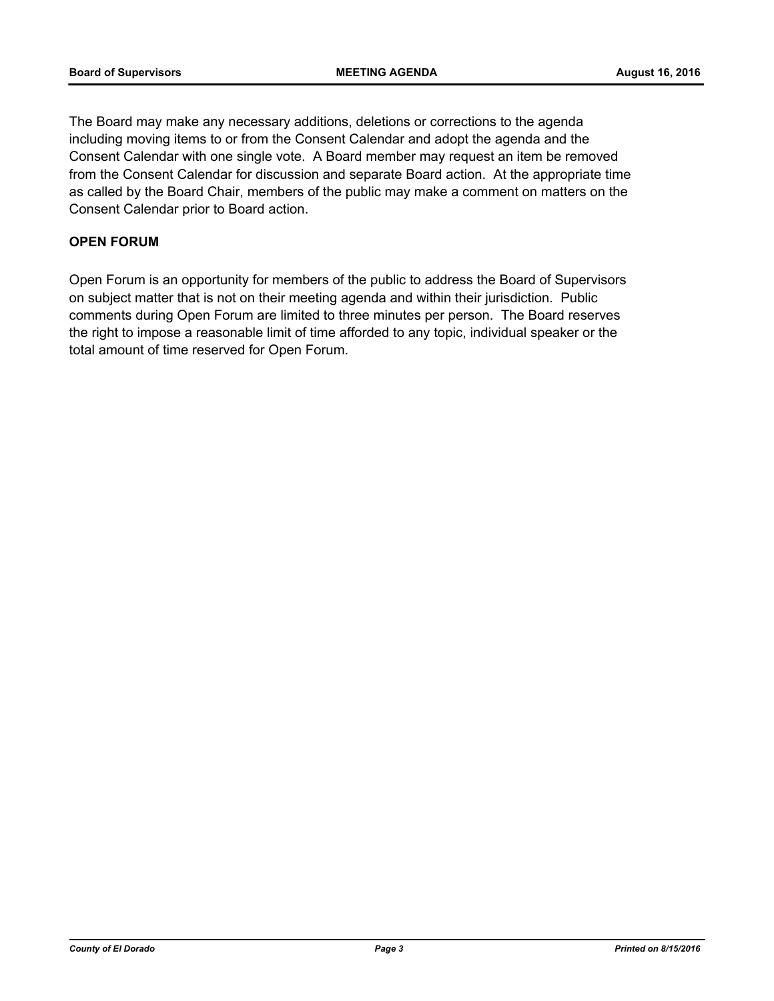The Board may make any necessary additions, deletions or corrections to the agenda including moving items to or from the Consent Calendar and adopt the agenda and the Consent Calendar with one single vote. A Board member may request an item be removed from the Consent Calendar for discussion and separate Board action. At the appropriate time as called by the Board Chair, members of the public may make a comment on matters on the Consent Calendar prior to Board action.

# **OPEN FORUM**

Open Forum is an opportunity for members of the public to address the Board of Supervisors on subject matter that is not on their meeting agenda and within their jurisdiction. Public comments during Open Forum are limited to three minutes per person. The Board reserves the right to impose a reasonable limit of time afforded to any topic, individual speaker or the total amount of time reserved for Open Forum.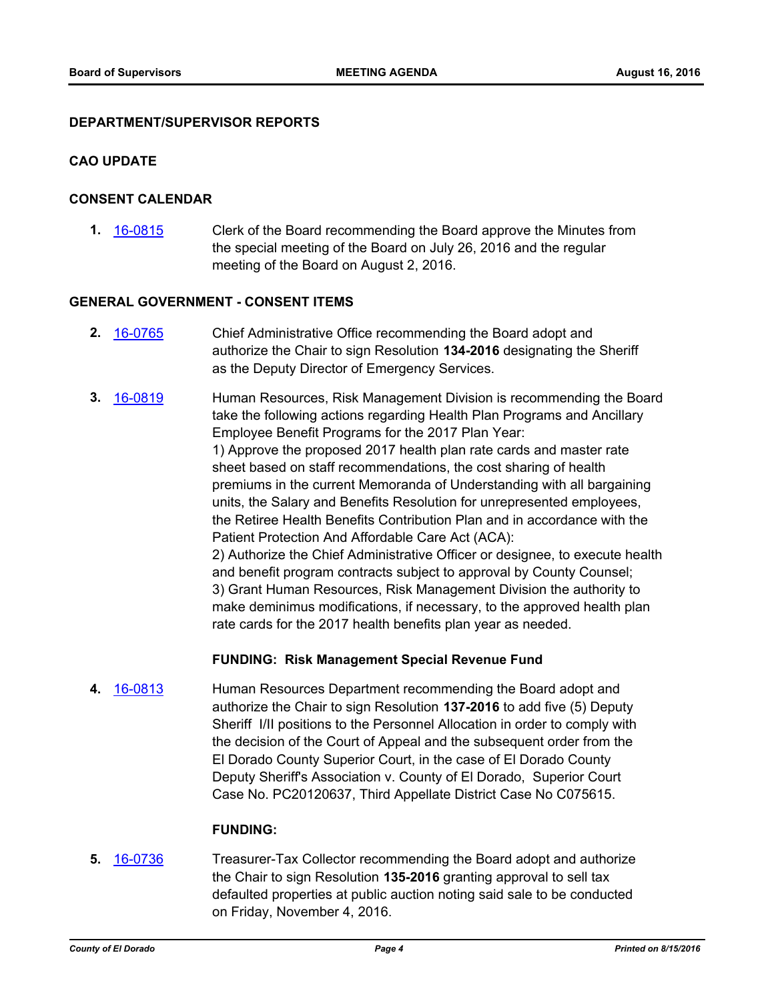#### **DEPARTMENT/SUPERVISOR REPORTS**

#### **CAO UPDATE**

#### **CONSENT CALENDAR**

**1.** [16-0815](http://eldorado.legistar.com/gateway.aspx?m=l&id=/matter.aspx?key=21473) Clerk of the Board recommending the Board approve the Minutes from the special meeting of the Board on July 26, 2016 and the regular meeting of the Board on August 2, 2016.

#### **GENERAL GOVERNMENT - CONSENT ITEMS**

- **2.** [16-0765](http://eldorado.legistar.com/gateway.aspx?m=l&id=/matter.aspx?key=21423) Chief Administrative Office recommending the Board adopt and authorize the Chair to sign Resolution **134-2016** designating the Sheriff as the Deputy Director of Emergency Services.
- **3.** [16-0819](http://eldorado.legistar.com/gateway.aspx?m=l&id=/matter.aspx?key=21477) Human Resources, Risk Management Division is recommending the Board take the following actions regarding Health Plan Programs and Ancillary Employee Benefit Programs for the 2017 Plan Year: 1) Approve the proposed 2017 health plan rate cards and master rate sheet based on staff recommendations, the cost sharing of health premiums in the current Memoranda of Understanding with all bargaining units, the Salary and Benefits Resolution for unrepresented employees, the Retiree Health Benefits Contribution Plan and in accordance with the Patient Protection And Affordable Care Act (ACA): 2) Authorize the Chief Administrative Officer or designee, to execute health and benefit program contracts subject to approval by County Counsel; 3) Grant Human Resources, Risk Management Division the authority to make deminimus modifications, if necessary, to the approved health plan rate cards for the 2017 health benefits plan year as needed.

#### **FUNDING: Risk Management Special Revenue Fund**

**4.** [16-0813](http://eldorado.legistar.com/gateway.aspx?m=l&id=/matter.aspx?key=21471) Human Resources Department recommending the Board adopt and authorize the Chair to sign Resolution **137-2016** to add five (5) Deputy Sheriff I/II positions to the Personnel Allocation in order to comply with the decision of the Court of Appeal and the subsequent order from the El Dorado County Superior Court, in the case of El Dorado County Deputy Sheriff's Association v. County of El Dorado, Superior Court Case No. PC20120637, Third Appellate District Case No C075615.

#### **FUNDING:**

**5.** [16-0736](http://eldorado.legistar.com/gateway.aspx?m=l&id=/matter.aspx?key=21394) Treasurer-Tax Collector recommending the Board adopt and authorize the Chair to sign Resolution **135-2016** granting approval to sell tax defaulted properties at public auction noting said sale to be conducted on Friday, November 4, 2016.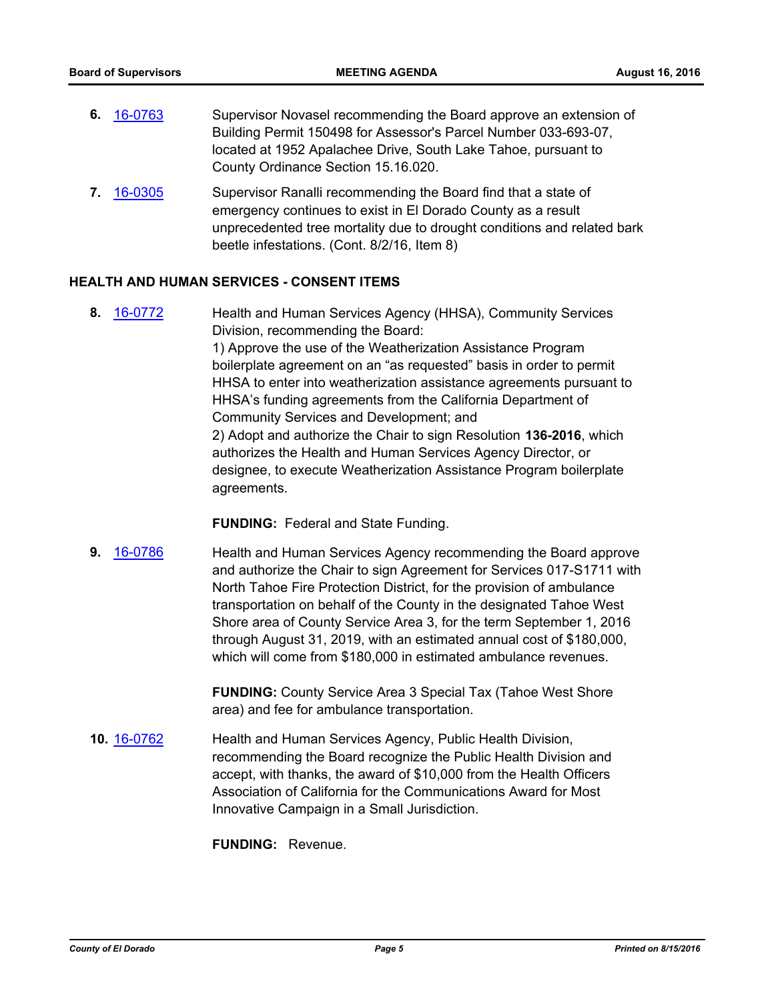- **6.** [16-0763](http://eldorado.legistar.com/gateway.aspx?m=l&id=/matter.aspx?key=21421) Supervisor Novasel recommending the Board approve an extension of Building Permit 150498 for Assessor's Parcel Number 033-693-07, located at 1952 Apalachee Drive, South Lake Tahoe, pursuant to County Ordinance Section 15.16.020.
- **7.** [16-0305](http://eldorado.legistar.com/gateway.aspx?m=l&id=/matter.aspx?key=20961) Supervisor Ranalli recommending the Board find that a state of emergency continues to exist in El Dorado County as a result unprecedented tree mortality due to drought conditions and related bark beetle infestations. (Cont. 8/2/16, Item 8)

# **HEALTH AND HUMAN SERVICES - CONSENT ITEMS**

**8.** [16-0772](http://eldorado.legistar.com/gateway.aspx?m=l&id=/matter.aspx?key=21430) Health and Human Services Agency (HHSA), Community Services Division, recommending the Board: 1) Approve the use of the Weatherization Assistance Program boilerplate agreement on an "as requested" basis in order to permit HHSA to enter into weatherization assistance agreements pursuant to HHSA's funding agreements from the California Department of Community Services and Development; and 2) Adopt and authorize the Chair to sign Resolution **136-2016**, which authorizes the Health and Human Services Agency Director, or designee, to execute Weatherization Assistance Program boilerplate agreements.

**FUNDING:** Federal and State Funding.

**9.** [16-0786](http://eldorado.legistar.com/gateway.aspx?m=l&id=/matter.aspx?key=21444) Health and Human Services Agency recommending the Board approve and authorize the Chair to sign Agreement for Services 017-S1711 with North Tahoe Fire Protection District, for the provision of ambulance transportation on behalf of the County in the designated Tahoe West Shore area of County Service Area 3, for the term September 1, 2016 through August 31, 2019, with an estimated annual cost of \$180,000, which will come from \$180,000 in estimated ambulance revenues.

> **FUNDING:** County Service Area 3 Special Tax (Tahoe West Shore area) and fee for ambulance transportation.

**10.** [16-0762](http://eldorado.legistar.com/gateway.aspx?m=l&id=/matter.aspx?key=21420) Health and Human Services Agency, Public Health Division, recommending the Board recognize the Public Health Division and accept, with thanks, the award of \$10,000 from the Health Officers Association of California for the Communications Award for Most Innovative Campaign in a Small Jurisdiction.

**FUNDING:** Revenue.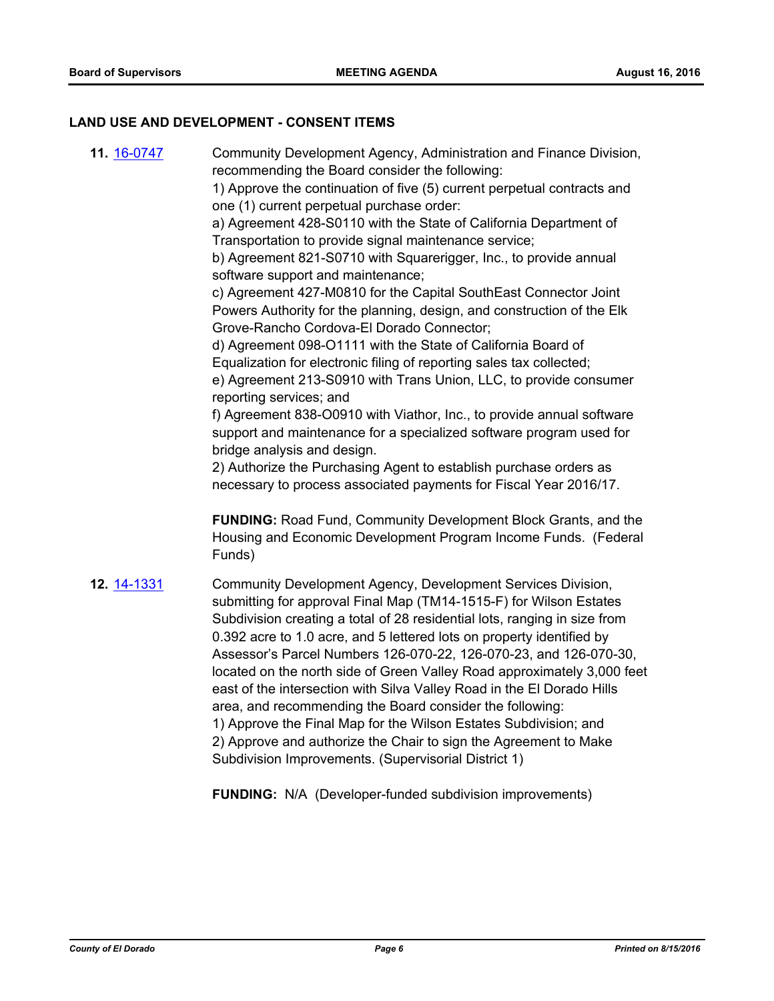#### **LAND USE AND DEVELOPMENT - CONSENT ITEMS**

**11.** [16-0747](http://eldorado.legistar.com/gateway.aspx?m=l&id=/matter.aspx?key=21405) Community Development Agency, Administration and Finance Division, recommending the Board consider the following:

> 1) Approve the continuation of five (5) current perpetual contracts and one (1) current perpetual purchase order:

a) Agreement 428-S0110 with the State of California Department of Transportation to provide signal maintenance service;

b) Agreement 821-S0710 with Squarerigger, Inc., to provide annual software support and maintenance;

c) Agreement 427-M0810 for the Capital SouthEast Connector Joint Powers Authority for the planning, design, and construction of the Elk Grove-Rancho Cordova-El Dorado Connector;

d) Agreement 098-O1111 with the State of California Board of Equalization for electronic filing of reporting sales tax collected;

e) Agreement 213-S0910 with Trans Union, LLC, to provide consumer reporting services; and

f) Agreement 838-O0910 with Viathor, Inc., to provide annual software support and maintenance for a specialized software program used for bridge analysis and design.

2) Authorize the Purchasing Agent to establish purchase orders as necessary to process associated payments for Fiscal Year 2016/17.

**FUNDING:** Road Fund, Community Development Block Grants, and the Housing and Economic Development Program Income Funds. (Federal Funds)

**12.** [14-1331](http://eldorado.legistar.com/gateway.aspx?m=l&id=/matter.aspx?key=18815) Community Development Agency, Development Services Division, submitting for approval Final Map (TM14-1515-F) for Wilson Estates Subdivision creating a total of 28 residential lots, ranging in size from 0.392 acre to 1.0 acre, and 5 lettered lots on property identified by Assessor's Parcel Numbers 126-070-22, 126-070-23, and 126-070-30, located on the north side of Green Valley Road approximately 3,000 feet east of the intersection with Silva Valley Road in the El Dorado Hills area, and recommending the Board consider the following: 1) Approve the Final Map for the Wilson Estates Subdivision; and 2) Approve and authorize the Chair to sign the Agreement to Make Subdivision Improvements. (Supervisorial District 1)

**FUNDING:** N/A (Developer-funded subdivision improvements)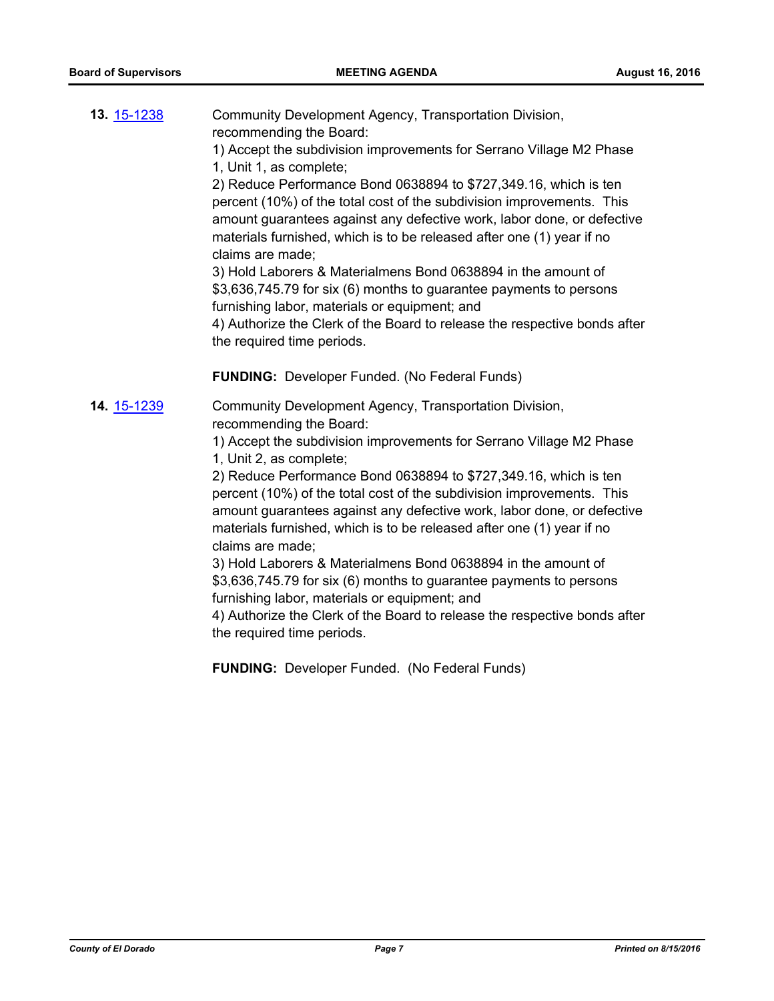| <b>13. 15-1238</b> | Community Development Agency, Transportation Division,<br>recommending the Board:<br>1) Accept the subdivision improvements for Serrano Village M2 Phase<br>1, Unit 1, as complete;<br>2) Reduce Performance Bond 0638894 to \$727,349.16, which is ten<br>percent (10%) of the total cost of the subdivision improvements. This<br>amount guarantees against any defective work, labor done, or defective<br>materials furnished, which is to be released after one (1) year if no<br>claims are made;<br>3) Hold Laborers & Materialmens Bond 0638894 in the amount of<br>\$3,636,745.79 for six (6) months to guarantee payments to persons<br>furnishing labor, materials or equipment; and<br>4) Authorize the Clerk of the Board to release the respective bonds after<br>the required time periods. |
|--------------------|------------------------------------------------------------------------------------------------------------------------------------------------------------------------------------------------------------------------------------------------------------------------------------------------------------------------------------------------------------------------------------------------------------------------------------------------------------------------------------------------------------------------------------------------------------------------------------------------------------------------------------------------------------------------------------------------------------------------------------------------------------------------------------------------------------|
|                    | <b>FUNDING:</b> Developer Funded. (No Federal Funds)                                                                                                                                                                                                                                                                                                                                                                                                                                                                                                                                                                                                                                                                                                                                                       |
| 14. 15-1239        | Community Development Agency, Transportation Division,<br>recommending the Board:                                                                                                                                                                                                                                                                                                                                                                                                                                                                                                                                                                                                                                                                                                                          |
|                    | 1) Accept the subdivision improvements for Serrano Village M2 Phase<br>1, Unit 2, as complete;                                                                                                                                                                                                                                                                                                                                                                                                                                                                                                                                                                                                                                                                                                             |
|                    | 2) Reduce Performance Bond 0638894 to \$727,349.16, which is ten<br>percent (10%) of the total cost of the subdivision improvements. This<br>amount guarantees against any defective work, labor done, or defective<br>materials furnished, which is to be released after one (1) year if no<br>claims are made;                                                                                                                                                                                                                                                                                                                                                                                                                                                                                           |
|                    | 3) Hold Laborers & Materialmens Bond 0638894 in the amount of<br>\$3,636,745.79 for six (6) months to guarantee payments to persons                                                                                                                                                                                                                                                                                                                                                                                                                                                                                                                                                                                                                                                                        |
|                    | furnishing labor, materials or equipment; and                                                                                                                                                                                                                                                                                                                                                                                                                                                                                                                                                                                                                                                                                                                                                              |
|                    | 4) Authorize the Clerk of the Board to release the respective bonds after<br>the required time periods.                                                                                                                                                                                                                                                                                                                                                                                                                                                                                                                                                                                                                                                                                                    |
|                    | <b>FUNDING: Developer Funded. (No Federal Funds)</b>                                                                                                                                                                                                                                                                                                                                                                                                                                                                                                                                                                                                                                                                                                                                                       |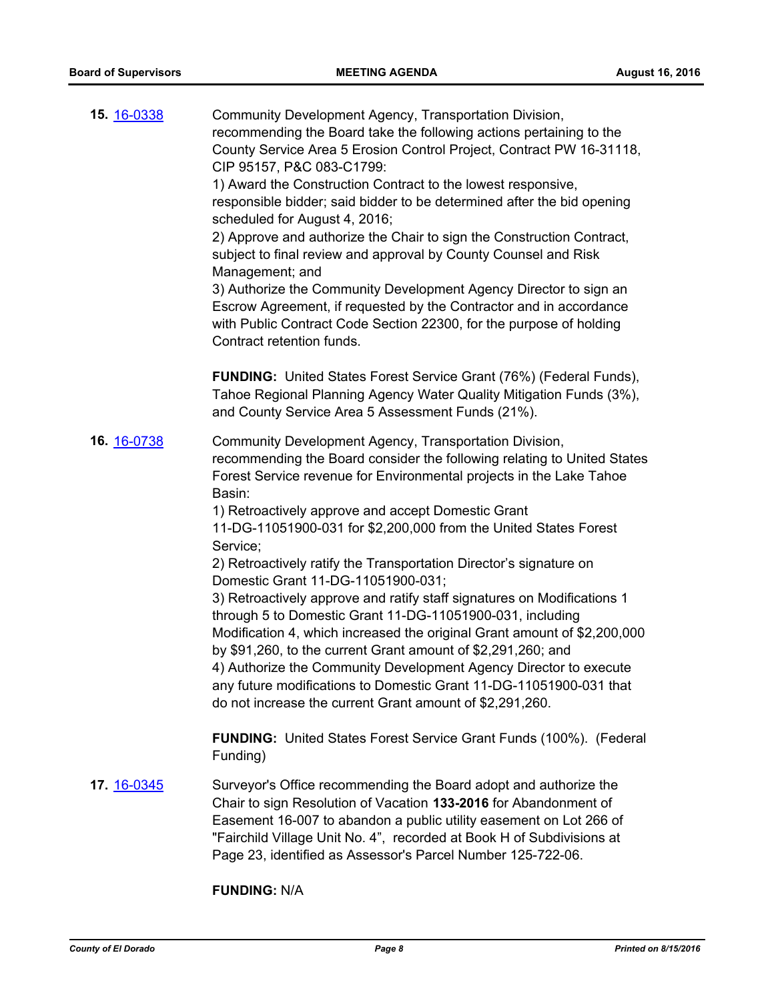| 15. 16-0338        | Community Development Agency, Transportation Division,<br>recommending the Board take the following actions pertaining to the<br>County Service Area 5 Erosion Control Project, Contract PW 16-31118,<br>CIP 95157, P&C 083-C1799:<br>1) Award the Construction Contract to the lowest responsive,<br>responsible bidder; said bidder to be determined after the bid opening<br>scheduled for August 4, 2016;<br>2) Approve and authorize the Chair to sign the Construction Contract,<br>subject to final review and approval by County Counsel and Risk<br>Management; and<br>3) Authorize the Community Development Agency Director to sign an<br>Escrow Agreement, if requested by the Contractor and in accordance<br>with Public Contract Code Section 22300, for the purpose of holding<br>Contract retention funds. |
|--------------------|-----------------------------------------------------------------------------------------------------------------------------------------------------------------------------------------------------------------------------------------------------------------------------------------------------------------------------------------------------------------------------------------------------------------------------------------------------------------------------------------------------------------------------------------------------------------------------------------------------------------------------------------------------------------------------------------------------------------------------------------------------------------------------------------------------------------------------|
|                    | FUNDING: United States Forest Service Grant (76%) (Federal Funds),<br>Tahoe Regional Planning Agency Water Quality Mitigation Funds (3%),<br>and County Service Area 5 Assessment Funds (21%).                                                                                                                                                                                                                                                                                                                                                                                                                                                                                                                                                                                                                              |
| 16. 16-0738        | Community Development Agency, Transportation Division,<br>recommending the Board consider the following relating to United States<br>Forest Service revenue for Environmental projects in the Lake Tahoe<br>Basin:<br>1) Retroactively approve and accept Domestic Grant                                                                                                                                                                                                                                                                                                                                                                                                                                                                                                                                                    |
|                    | 11-DG-11051900-031 for \$2,200,000 from the United States Forest                                                                                                                                                                                                                                                                                                                                                                                                                                                                                                                                                                                                                                                                                                                                                            |
|                    | Service;<br>2) Retroactively ratify the Transportation Director's signature on<br>Domestic Grant 11-DG-11051900-031;                                                                                                                                                                                                                                                                                                                                                                                                                                                                                                                                                                                                                                                                                                        |
|                    | 3) Retroactively approve and ratify staff signatures on Modifications 1<br>through 5 to Domestic Grant 11-DG-11051900-031, including<br>Modification 4, which increased the original Grant amount of \$2,200,000<br>by \$91,260, to the current Grant amount of \$2,291,260; and<br>4) Authorize the Community Development Agency Director to execute<br>any future modifications to Domestic Grant 11-DG-11051900-031 that                                                                                                                                                                                                                                                                                                                                                                                                 |
|                    | do not increase the current Grant amount of \$2,291,260.                                                                                                                                                                                                                                                                                                                                                                                                                                                                                                                                                                                                                                                                                                                                                                    |
|                    | <b>FUNDING:</b> United States Forest Service Grant Funds (100%). (Federal<br>Funding)                                                                                                                                                                                                                                                                                                                                                                                                                                                                                                                                                                                                                                                                                                                                       |
| <b>17. 16-0345</b> | Surveyor's Office recommending the Board adopt and authorize the<br>Chair to sign Resolution of Vacation 133-2016 for Abandonment of<br>Easement 16-007 to abandon a public utility easement on Lot 266 of<br>"Fairchild Village Unit No. 4", recorded at Book H of Subdivisions at<br>Page 23, identified as Assessor's Parcel Number 125-722-06.                                                                                                                                                                                                                                                                                                                                                                                                                                                                          |

# **FUNDING:** N/A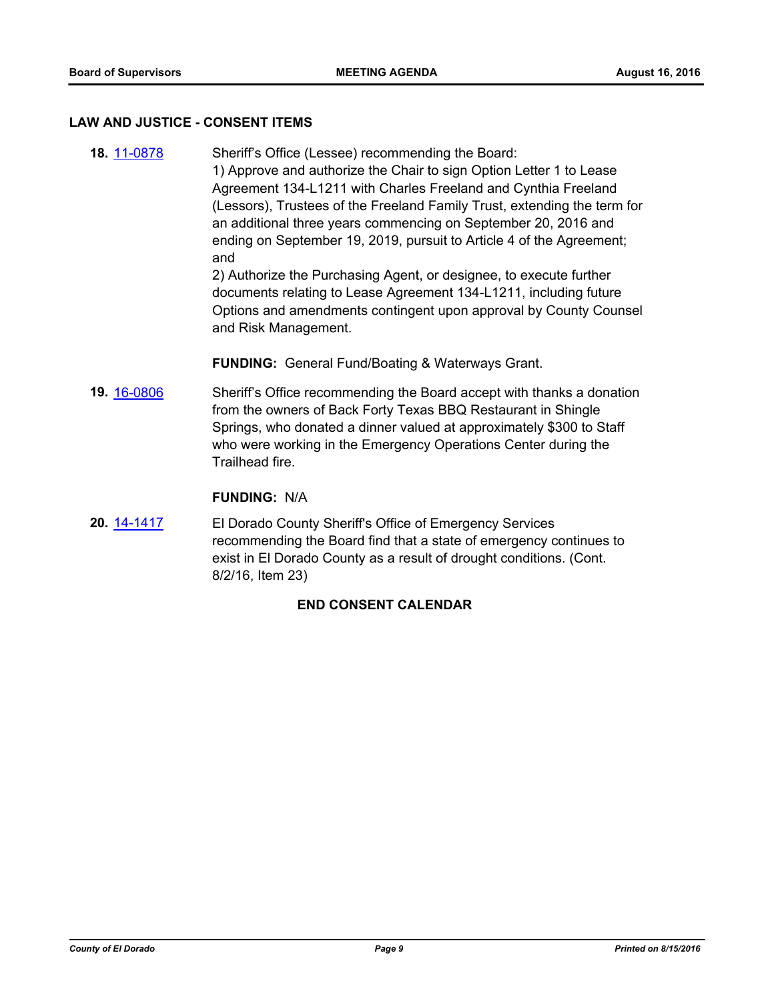#### **LAW AND JUSTICE - CONSENT ITEMS**

**18.** [11-0878](http://eldorado.legistar.com/gateway.aspx?m=l&id=/matter.aspx?key=13721) Sheriff's Office (Lessee) recommending the Board: 1) Approve and authorize the Chair to sign Option Letter 1 to Lease Agreement 134-L1211 with Charles Freeland and Cynthia Freeland (Lessors), Trustees of the Freeland Family Trust, extending the term for an additional three years commencing on September 20, 2016 and ending on September 19, 2019, pursuit to Article 4 of the Agreement; and

> 2) Authorize the Purchasing Agent, or designee, to execute further documents relating to Lease Agreement 134-L1211, including future Options and amendments contingent upon approval by County Counsel and Risk Management.

**FUNDING:** General Fund/Boating & Waterways Grant.

**19.** [16-0806](http://eldorado.legistar.com/gateway.aspx?m=l&id=/matter.aspx?key=21464) Sheriff's Office recommending the Board accept with thanks a donation from the owners of Back Forty Texas BBQ Restaurant in Shingle Springs, who donated a dinner valued at approximately \$300 to Staff who were working in the Emergency Operations Center during the Trailhead fire.

#### **FUNDING:** N/A

**20.** [14-1417](http://eldorado.legistar.com/gateway.aspx?m=l&id=/matter.aspx?key=18901) El Dorado County Sheriff's Office of Emergency Services recommending the Board find that a state of emergency continues to exist in El Dorado County as a result of drought conditions. (Cont. 8/2/16, Item 23)

# **END CONSENT CALENDAR**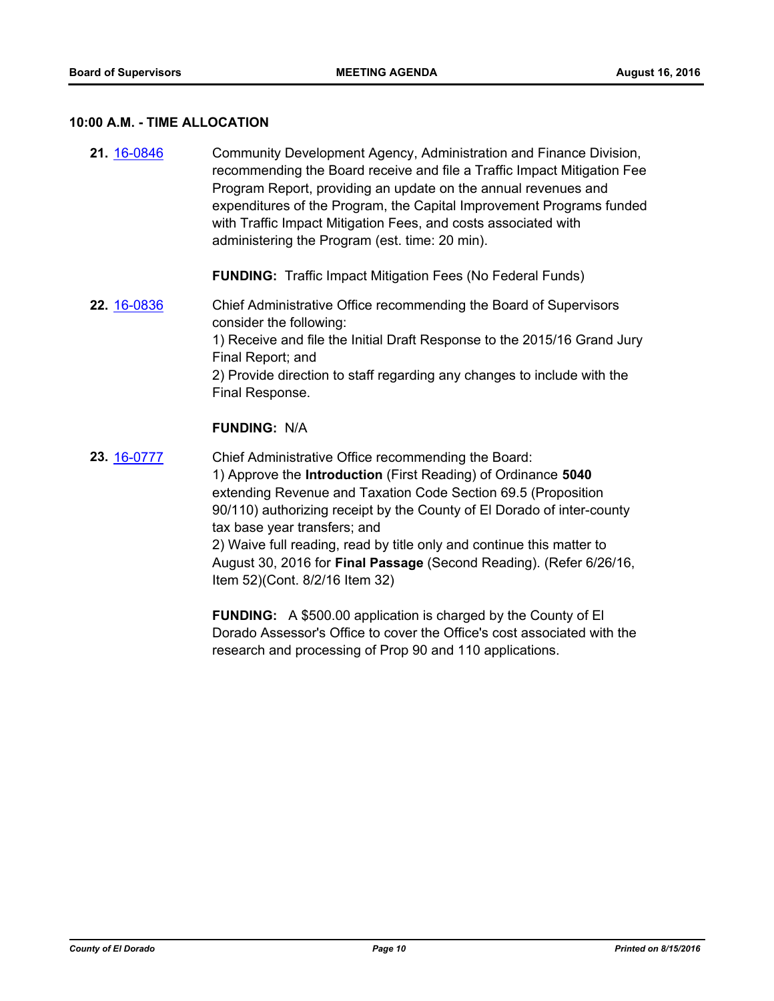#### **10:00 A.M. - TIME ALLOCATION**

**21.** [16-0846](http://eldorado.legistar.com/gateway.aspx?m=l&id=/matter.aspx?key=21504) Community Development Agency, Administration and Finance Division, recommending the Board receive and file a Traffic Impact Mitigation Fee Program Report, providing an update on the annual revenues and expenditures of the Program, the Capital Improvement Programs funded with Traffic Impact Mitigation Fees, and costs associated with administering the Program (est. time: 20 min).

**FUNDING:** Traffic Impact Mitigation Fees (No Federal Funds)

**22.** [16-0836](http://eldorado.legistar.com/gateway.aspx?m=l&id=/matter.aspx?key=21494) Chief Administrative Office recommending the Board of Supervisors consider the following: 1) Receive and file the Initial Draft Response to the 2015/16 Grand Jury Final Report; and 2) Provide direction to staff regarding any changes to include with the Final Response.

# **FUNDING:** N/A

**23.** [16-0777](http://eldorado.legistar.com/gateway.aspx?m=l&id=/matter.aspx?key=21435) Chief Administrative Office recommending the Board: 1) Approve the **Introduction** (First Reading) of Ordinance **5040**  extending Revenue and Taxation Code Section 69.5 (Proposition 90/110) authorizing receipt by the County of El Dorado of inter-county tax base year transfers; and 2) Waive full reading, read by title only and continue this matter to August 30, 2016 for **Final Passage** (Second Reading). (Refer 6/26/16, Item 52)(Cont. 8/2/16 Item 32)

> **FUNDING:** A \$500.00 application is charged by the County of El Dorado Assessor's Office to cover the Office's cost associated with the research and processing of Prop 90 and 110 applications.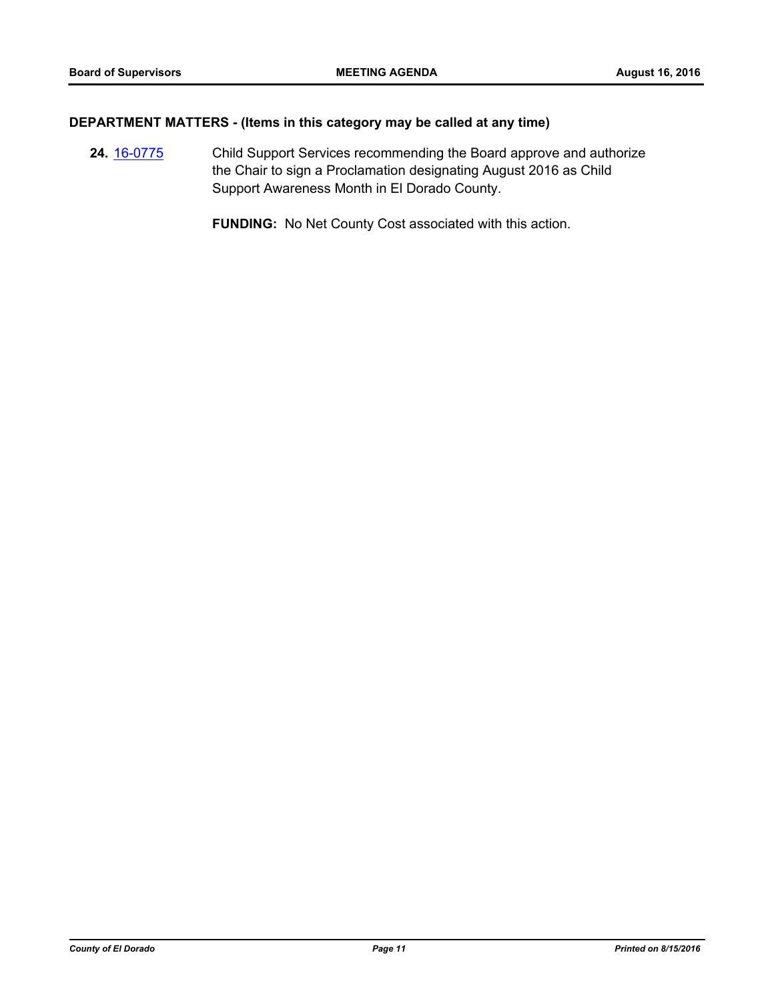# **DEPARTMENT MATTERS - (Items in this category may be called at any time)**

**24.** [16-0775](http://eldorado.legistar.com/gateway.aspx?m=l&id=/matter.aspx?key=21433) Child Support Services recommending the Board approve and authorize the Chair to sign a Proclamation designating August 2016 as Child Support Awareness Month in El Dorado County.

**FUNDING:** No Net County Cost associated with this action.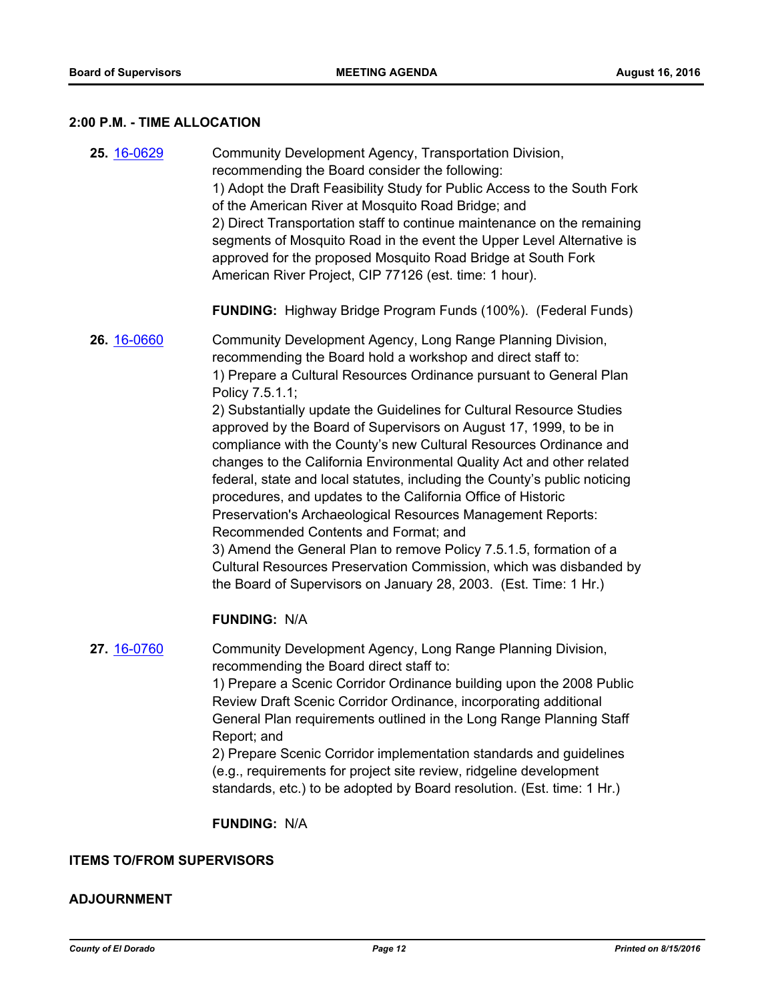# **2:00 P.M. - TIME ALLOCATION**

| 25. 16-0629 | Community Development Agency, Transportation Division,<br>recommending the Board consider the following:<br>1) Adopt the Draft Feasibility Study for Public Access to the South Fork<br>of the American River at Mosquito Road Bridge; and<br>2) Direct Transportation staff to continue maintenance on the remaining<br>segments of Mosquito Road in the event the Upper Level Alternative is<br>approved for the proposed Mosquito Road Bridge at South Fork<br>American River Project, CIP 77126 (est. time: 1 hour).                                                                                                                                                                                                                                                                                                                                                                                                                                                           |
|-------------|------------------------------------------------------------------------------------------------------------------------------------------------------------------------------------------------------------------------------------------------------------------------------------------------------------------------------------------------------------------------------------------------------------------------------------------------------------------------------------------------------------------------------------------------------------------------------------------------------------------------------------------------------------------------------------------------------------------------------------------------------------------------------------------------------------------------------------------------------------------------------------------------------------------------------------------------------------------------------------|
|             | <b>FUNDING:</b> Highway Bridge Program Funds (100%). (Federal Funds)                                                                                                                                                                                                                                                                                                                                                                                                                                                                                                                                                                                                                                                                                                                                                                                                                                                                                                               |
| 26. 16-0660 | Community Development Agency, Long Range Planning Division,<br>recommending the Board hold a workshop and direct staff to:<br>1) Prepare a Cultural Resources Ordinance pursuant to General Plan<br>Policy 7.5.1.1;<br>2) Substantially update the Guidelines for Cultural Resource Studies<br>approved by the Board of Supervisors on August 17, 1999, to be in<br>compliance with the County's new Cultural Resources Ordinance and<br>changes to the California Environmental Quality Act and other related<br>federal, state and local statutes, including the County's public noticing<br>procedures, and updates to the California Office of Historic<br>Preservation's Archaeological Resources Management Reports:<br>Recommended Contents and Format; and<br>3) Amend the General Plan to remove Policy 7.5.1.5, formation of a<br>Cultural Resources Preservation Commission, which was disbanded by<br>the Board of Supervisors on January 28, 2003. (Est. Time: 1 Hr.) |
|             | <b>FUNDING: N/A</b>                                                                                                                                                                                                                                                                                                                                                                                                                                                                                                                                                                                                                                                                                                                                                                                                                                                                                                                                                                |
| 27. 16-0760 | Community Development Agency, Long Range Planning Division,<br>recommending the Board direct staff to:<br>1) Prepare a Scenic Corridor Ordinance building upon the 2008 Public<br>Review Draft Scenic Corridor Ordinance, incorporating additional<br>General Plan requirements outlined in the Long Range Planning Staff                                                                                                                                                                                                                                                                                                                                                                                                                                                                                                                                                                                                                                                          |

Report; and 2) Prepare Scenic Corridor implementation standards and guidelines (e.g., requirements for project site review, ridgeline development

standards, etc.) to be adopted by Board resolution. (Est. time: 1 Hr.)

**FUNDING:** N/A

# **ITEMS TO/FROM SUPERVISORS**

# **ADJOURNMENT**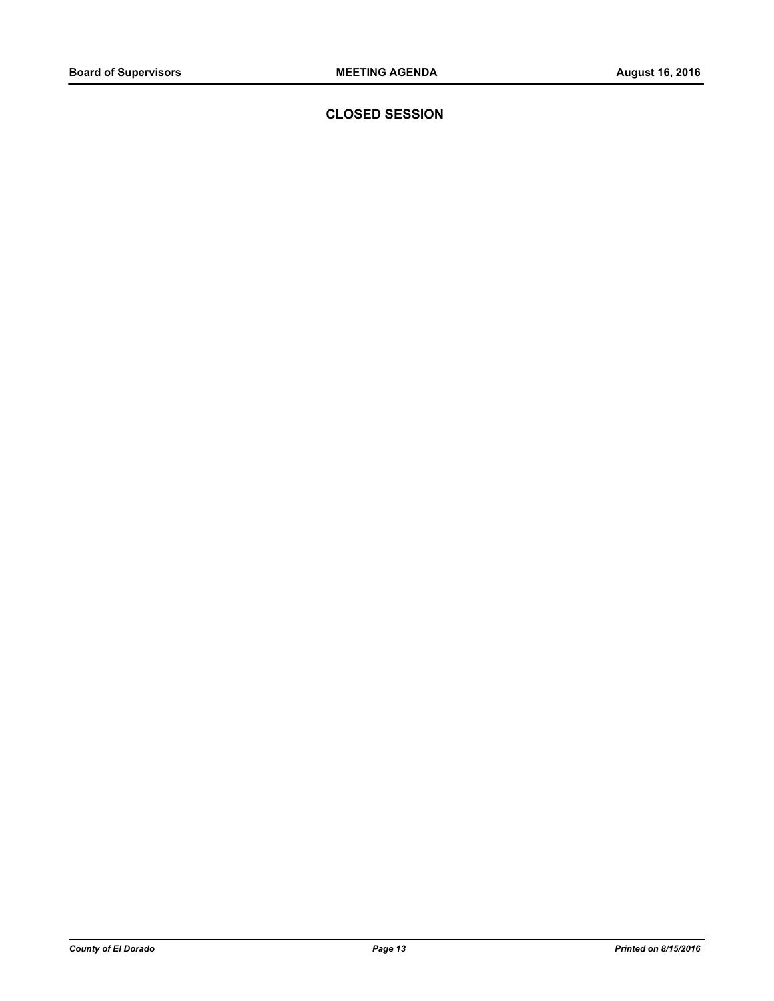**CLOSED SESSION**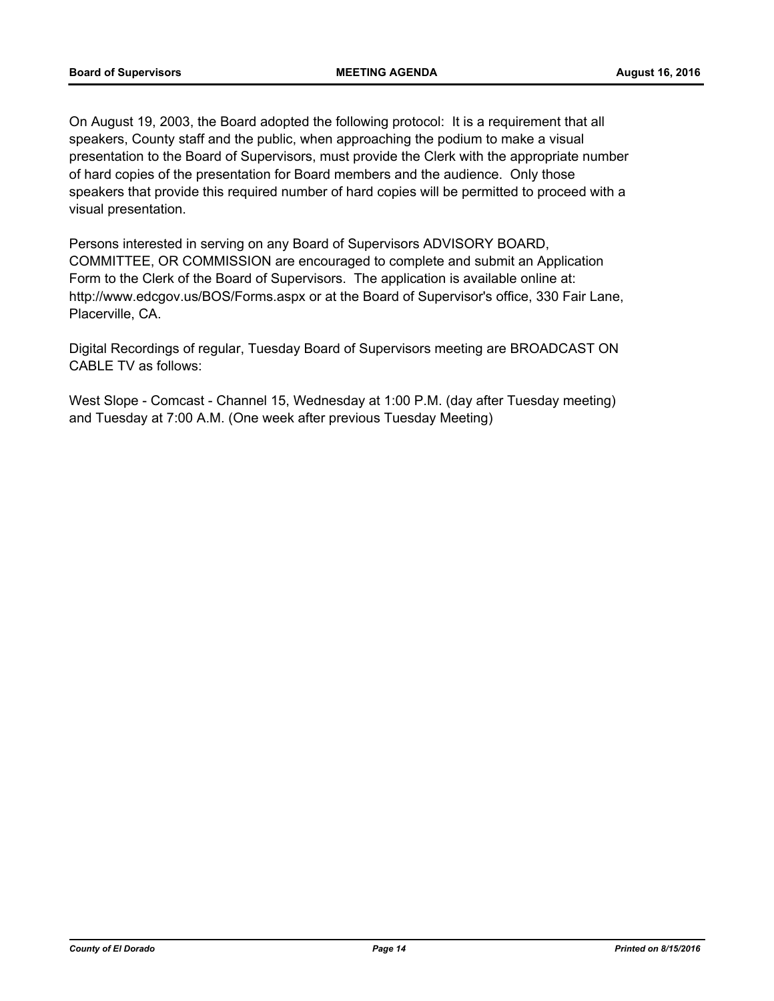On August 19, 2003, the Board adopted the following protocol: It is a requirement that all speakers, County staff and the public, when approaching the podium to make a visual presentation to the Board of Supervisors, must provide the Clerk with the appropriate number of hard copies of the presentation for Board members and the audience. Only those speakers that provide this required number of hard copies will be permitted to proceed with a visual presentation.

Persons interested in serving on any Board of Supervisors ADVISORY BOARD, COMMITTEE, OR COMMISSION are encouraged to complete and submit an Application Form to the Clerk of the Board of Supervisors. The application is available online at: http://www.edcgov.us/BOS/Forms.aspx or at the Board of Supervisor's office, 330 Fair Lane, Placerville, CA.

Digital Recordings of regular, Tuesday Board of Supervisors meeting are BROADCAST ON CABLE TV as follows:

West Slope - Comcast - Channel 15, Wednesday at 1:00 P.M. (day after Tuesday meeting) and Tuesday at 7:00 A.M. (One week after previous Tuesday Meeting)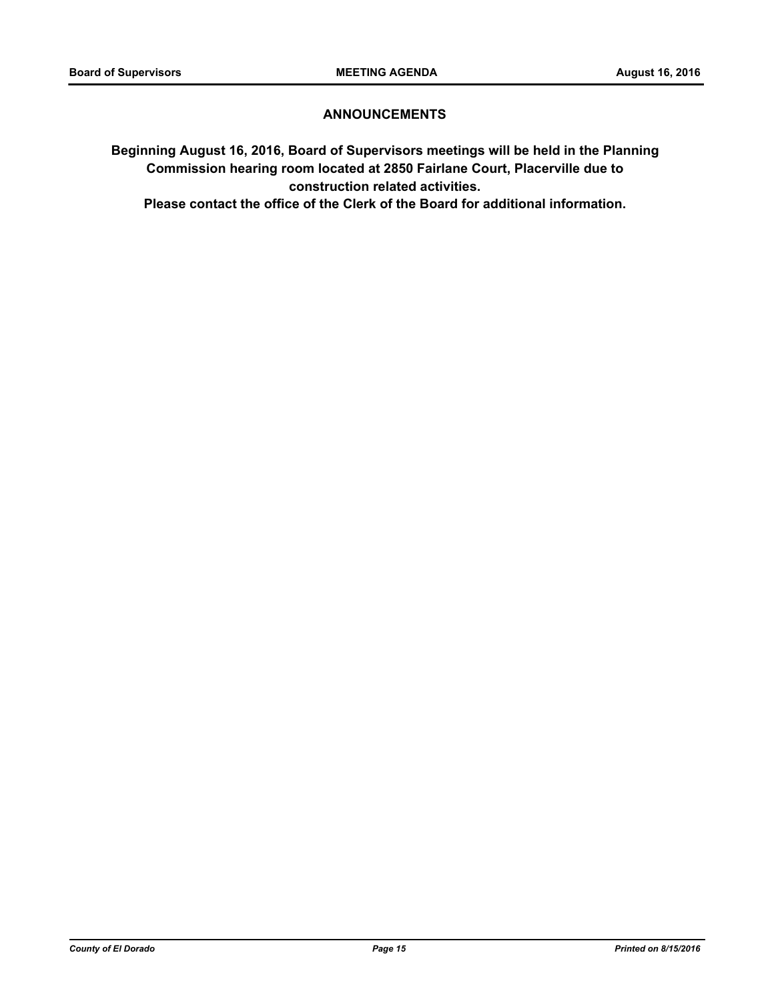# **ANNOUNCEMENTS**

**Beginning August 16, 2016, Board of Supervisors meetings will be held in the Planning Commission hearing room located at 2850 Fairlane Court, Placerville due to construction related activities.** 

**Please contact the office of the Clerk of the Board for additional information.**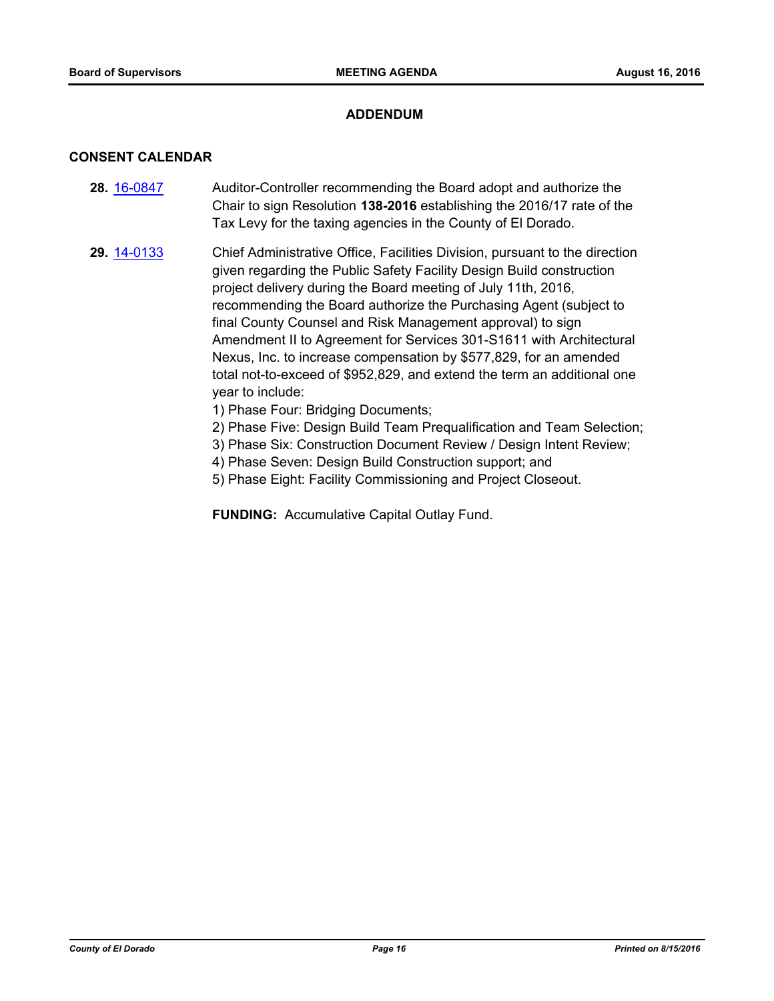# **ADDENDUM**

#### **CONSENT CALENDAR**

- **28.** [16-0847](http://eldorado.legistar.com/gateway.aspx?m=l&id=/matter.aspx?key=21505) Auditor-Controller recommending the Board adopt and authorize the Chair to sign Resolution **138-2016** establishing the 2016/17 rate of the Tax Levy for the taxing agencies in the County of El Dorado.
- **29.** [14-0133](http://eldorado.legistar.com/gateway.aspx?m=l&id=/matter.aspx?key=17616) Chief Administrative Office, Facilities Division, pursuant to the direction given regarding the Public Safety Facility Design Build construction project delivery during the Board meeting of July 11th, 2016, recommending the Board authorize the Purchasing Agent (subject to final County Counsel and Risk Management approval) to sign Amendment II to Agreement for Services 301-S1611 with Architectural Nexus, Inc. to increase compensation by \$577,829, for an amended total not-to-exceed of \$952,829, and extend the term an additional one year to include:
	- 1) Phase Four: Bridging Documents;
	- 2) Phase Five: Design Build Team Prequalification and Team Selection;
	- 3) Phase Six: Construction Document Review / Design Intent Review;
	- 4) Phase Seven: Design Build Construction support; and
	- 5) Phase Eight: Facility Commissioning and Project Closeout.

**FUNDING:** Accumulative Capital Outlay Fund.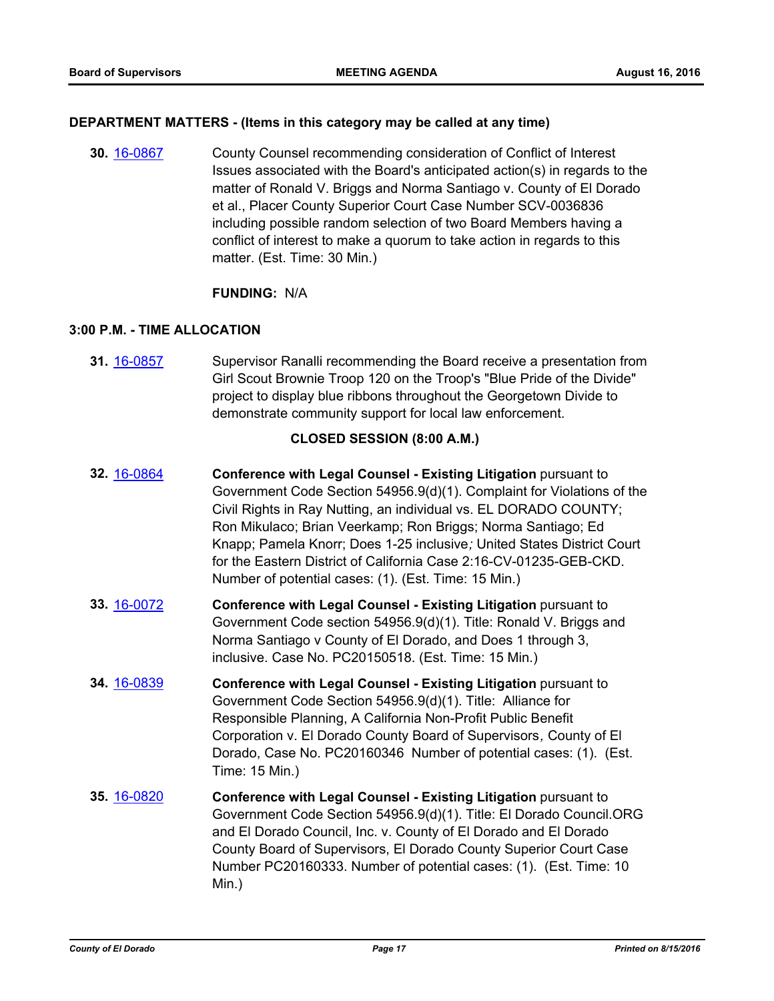#### **DEPARTMENT MATTERS - (Items in this category may be called at any time)**

**30.** [16-0867](http://eldorado.legistar.com/gateway.aspx?m=l&id=/matter.aspx?key=21525) County Counsel recommending consideration of Conflict of Interest Issues associated with the Board's anticipated action(s) in regards to the matter of Ronald V. Briggs and Norma Santiago v. County of El Dorado et al., Placer County Superior Court Case Number SCV-0036836 including possible random selection of two Board Members having a conflict of interest to make a quorum to take action in regards to this matter. (Est. Time: 30 Min.)

# **FUNDING:** N/A

# **3:00 P.M. - TIME ALLOCATION**

**31.** [16-0857](http://eldorado.legistar.com/gateway.aspx?m=l&id=/matter.aspx?key=21515) Supervisor Ranalli recommending the Board receive a presentation from Girl Scout Brownie Troop 120 on the Troop's "Blue Pride of the Divide" project to display blue ribbons throughout the Georgetown Divide to demonstrate community support for local law enforcement.

# **CLOSED SESSION (8:00 A.M.)**

- **32.** [16-0864](http://eldorado.legistar.com/gateway.aspx?m=l&id=/matter.aspx?key=21522) **Conference with Legal Counsel - Existing Litigation** pursuant to Government Code Section 54956.9(d)(1). Complaint for Violations of the Civil Rights in Ray Nutting, an individual vs. EL DORADO COUNTY; Ron Mikulaco; Brian Veerkamp; Ron Briggs; Norma Santiago; Ed Knapp; Pamela Knorr; Does 1-25 inclusive*;* United States District Court for the Eastern District of California Case 2:16-CV-01235-GEB-CKD. Number of potential cases: (1). (Est. Time: 15 Min.)
- **33.** [16-0072](http://eldorado.legistar.com/gateway.aspx?m=l&id=/matter.aspx?key=20728) **Conference with Legal Counsel Existing Litigation** pursuant to Government Code section 54956.9(d)(1). Title: Ronald V. Briggs and Norma Santiago v County of El Dorado, and Does 1 through 3, inclusive. Case No. PC20150518. (Est. Time: 15 Min.)
- **34.** [16-0839](http://eldorado.legistar.com/gateway.aspx?m=l&id=/matter.aspx?key=21497) **Conference with Legal Counsel - Existing Litigation** pursuant to Government Code Section 54956.9(d)(1). Title: Alliance for Responsible Planning, A California Non-Profit Public Benefit Corporation v. El Dorado County Board of Supervisors*,* County of El Dorado, Case No. PC20160346 Number of potential cases: (1). (Est. Time: 15 Min.)
- **35.** [16-0820](http://eldorado.legistar.com/gateway.aspx?m=l&id=/matter.aspx?key=21478) **Conference with Legal Counsel - Existing Litigation** pursuant to Government Code Section 54956.9(d)(1). Title: El Dorado Council.ORG and El Dorado Council, Inc. v. County of El Dorado and El Dorado County Board of Supervisors, El Dorado County Superior Court Case Number PC20160333. Number of potential cases: (1). (Est. Time: 10 Min.)